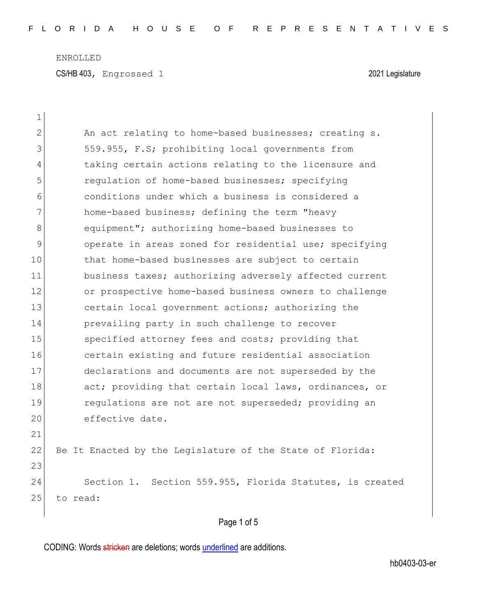ENROLLED CS/HB 403, Engrossed 1 2021 Legislature

| $\mathbf 1$ |                                                           |
|-------------|-----------------------------------------------------------|
| 2           | An act relating to home-based businesses; creating s.     |
| 3           | 559.955, F.S; prohibiting local governments from          |
| 4           | taking certain actions relating to the licensure and      |
| 5           | requiation of home-based businesses; specifying           |
| 6           | conditions under which a business is considered a         |
| 7           | home-based business; defining the term "heavy             |
| 8           | equipment"; authorizing home-based businesses to          |
| 9           | operate in areas zoned for residential use; specifying    |
| 10          | that home-based businesses are subject to certain         |
| 11          | business taxes; authorizing adversely affected current    |
| 12          | or prospective home-based business owners to challenge    |
| 13          | certain local government actions; authorizing the         |
| 14          | prevailing party in such challenge to recover             |
| 15          | specified attorney fees and costs; providing that         |
| 16          | certain existing and future residential association       |
| 17          | declarations and documents are not superseded by the      |
| 18          | act; providing that certain local laws, ordinances, or    |
| 19          | regulations are not are not superseded; providing an      |
| 20          | effective date.                                           |
| 21          |                                                           |
| 22          | Be It Enacted by the Legislature of the State of Florida: |
| 23          |                                                           |
| 24          | Section 1. Section 559.955, Florida Statutes, is created  |
| 25          | to read:                                                  |
|             |                                                           |

## Page 1 of 5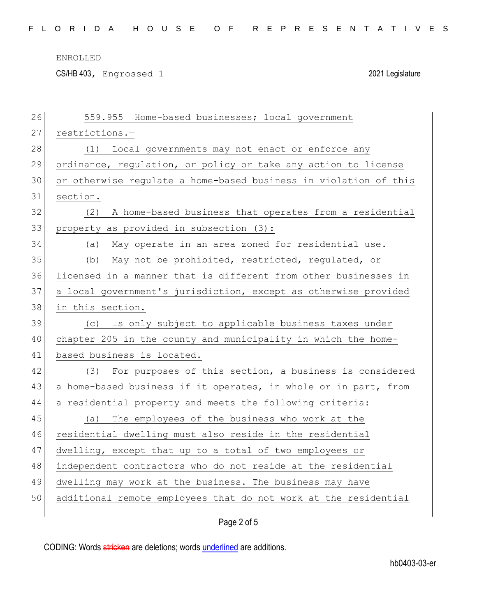CS/HB 403, Engrossed 1 2021 Legislature

| 26 | 559.955 Home-based businesses; local government                  |
|----|------------------------------------------------------------------|
| 27 | restrictions.-                                                   |
| 28 | Local governments may not enact or enforce any<br>(1)            |
| 29 | ordinance, regulation, or policy or take any action to license   |
| 30 | or otherwise regulate a home-based business in violation of this |
| 31 | section.                                                         |
| 32 | A home-based business that operates from a residential<br>(2)    |
| 33 | property as provided in subsection (3):                          |
| 34 | May operate in an area zoned for residential use.<br>(a)         |
| 35 | May not be prohibited, restricted, regulated, or<br>(b)          |
| 36 | licensed in a manner that is different from other businesses in  |
| 37 | a local government's jurisdiction, except as otherwise provided  |
| 38 | in this section.                                                 |
|    |                                                                  |
| 39 | Is only subject to applicable business taxes under<br>(C)        |
| 40 | chapter 205 in the county and municipality in which the home-    |
| 41 | based business is located.                                       |
| 42 | (3) For purposes of this section, a business is considered       |
| 43 | a home-based business if it operates, in whole or in part, from  |
| 44 | a residential property and meets the following criteria:         |
| 45 | The employees of the business who work at the<br>(a)             |
| 46 | residential dwelling must also reside in the residential         |
| 47 | dwelling, except that up to a total of two employees or          |
| 48 | independent contractors who do not reside at the residential     |
| 49 | dwelling may work at the business. The business may have         |
| 50 | additional remote employees that do not work at the residential  |

Page 2 of 5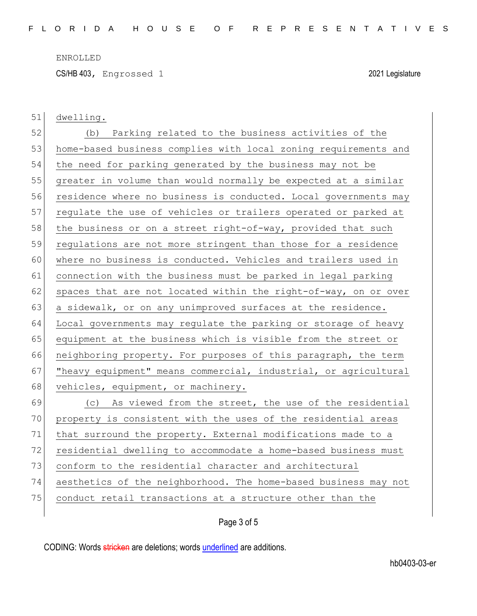CS/HB 403, Engrossed 1 2021 Legislature

| 51 | dwelling.                                                       |
|----|-----------------------------------------------------------------|
| 52 | Parking related to the business activities of the<br>(b)        |
| 53 | home-based business complies with local zoning requirements and |
| 54 | the need for parking generated by the business may not be       |
| 55 | greater in volume than would normally be expected at a similar  |
| 56 | residence where no business is conducted. Local governments may |
| 57 | regulate the use of vehicles or trailers operated or parked at  |
| 58 | the business or on a street right-of-way, provided that such    |
| 59 | regulations are not more stringent than those for a residence   |
| 60 | where no business is conducted. Vehicles and trailers used in   |
| 61 | connection with the business must be parked in legal parking    |
| 62 | spaces that are not located within the right-of-way, on or over |
| 63 | a sidewalk, or on any unimproved surfaces at the residence.     |
| 64 | Local governments may regulate the parking or storage of heavy  |
| 65 | equipment at the business which is visible from the street or   |
| 66 | neighboring property. For purposes of this paragraph, the term  |
| 67 | "heavy equipment" means commercial, industrial, or agricultural |
| 68 | vehicles, equipment, or machinery.                              |
| 69 | (c) As viewed from the street, the use of the residential       |
| 70 | property is consistent with the uses of the residential areas   |
| 71 | that surround the property. External modifications made to a    |
| 72 | residential dwelling to accommodate a home-based business must  |
| 73 | conform to the residential character and architectural          |
| 74 | aesthetics of the neighborhood. The home-based business may not |
| 75 | conduct retail transactions at a structure other than the       |
|    |                                                                 |

Page 3 of 5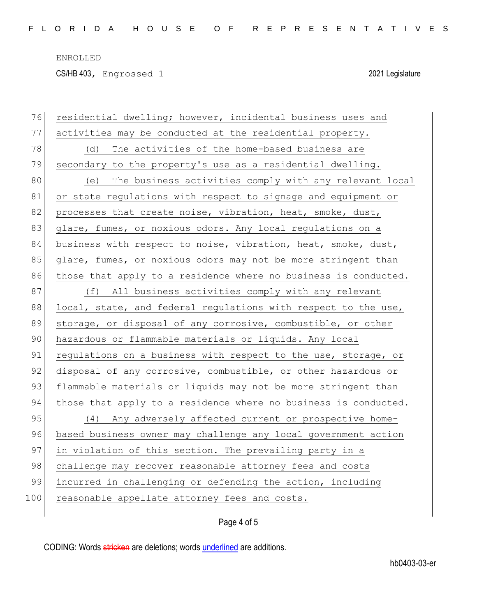CS/HB 403, Engrossed 1 2021 Legislature

| 76  | residential dwelling; however, incidental business uses and     |
|-----|-----------------------------------------------------------------|
| 77  | activities may be conducted at the residential property.        |
| 78  | The activities of the home-based business are<br>(d)            |
| 79  | secondary to the property's use as a residential dwelling.      |
| 80  | (e) The business activities comply with any relevant local      |
| 81  | or state regulations with respect to signage and equipment or   |
| 82  | processes that create noise, vibration, heat, smoke, dust,      |
| 83  | glare, fumes, or noxious odors. Any local regulations on a      |
| 84  | business with respect to noise, vibration, heat, smoke, dust,   |
| 85  | glare, fumes, or noxious odors may not be more stringent than   |
| 86  | those that apply to a residence where no business is conducted. |
| 87  | (f) All business activities comply with any relevant            |
| 88  | local, state, and federal regulations with respect to the use,  |
| 89  | storage, or disposal of any corrosive, combustible, or other    |
| 90  | hazardous or flammable materials or liquids. Any local          |
| 91  | regulations on a business with respect to the use, storage, or  |
| 92  | disposal of any corrosive, combustible, or other hazardous or   |
| 93  | flammable materials or liquids may not be more stringent than   |
| 94  | those that apply to a residence where no business is conducted. |
| 95  | (4) Any adversely affected current or prospective home-         |
| 96  | based business owner may challenge any local government action  |
| 97  | in violation of this section. The prevailing party in a         |
| 98  | challenge may recover reasonable attorney fees and costs        |
| 99  | incurred in challenging or defending the action, including      |
| 100 | reasonable appellate attorney fees and costs.                   |
|     |                                                                 |

## Page 4 of 5